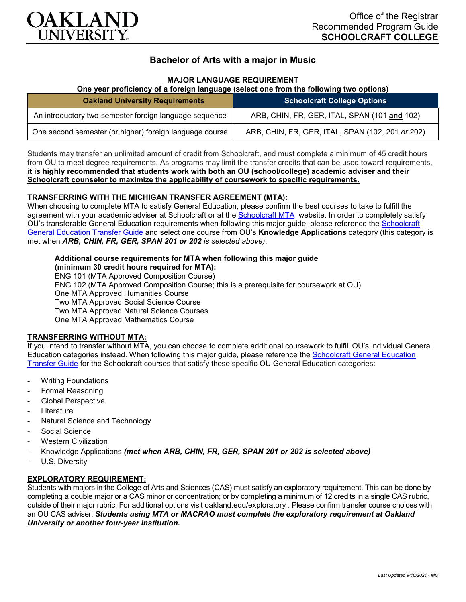

# **Bachelor of Arts with a major in Music**

## **MAJOR LANGUAGE REQUIREMENT**

## **One year proficiency of a foreign language (select one from the following two options)**

| <b>Oakland University Requirements</b>                  | <b>Schoolcraft College Options</b>               |
|---------------------------------------------------------|--------------------------------------------------|
| An introductory two-semester foreign language sequence  | ARB, CHIN, FR, GER, ITAL, SPAN (101 and 102)     |
| One second semester (or higher) foreign language course | ARB, CHIN, FR, GER, ITAL, SPAN (102, 201 or 202) |

Students may transfer an unlimited amount of credit from Schoolcraft, and must complete a minimum of 45 credit hours from OU to meet degree requirements. As programs may limit the transfer credits that can be used toward requirements, **it is highly recommended that students work with both an OU (school/college) academic adviser and their Schoolcraft counselor to maximize the applicability of coursework to specific requirements.**

## **TRANSFERRING WITH THE MICHIGAN TRANSFER AGREEMENT (MTA):**

When choosing to complete MTA to satisfy General Education, please confirm the best courses to take to fulfill the agreement with your academic adviser at Schoolcraft or at the [Schoolcraft MTA](https://schoolcraft.edu/academics/michigan-transfer-agreement) website. In order to completely satisfy OU's transferable General Education requirements when following this major guide, please reference the [Schoolcraft](https://www.oakland.edu/Assets/Oakland/program-guides/schoolcraft-college/university-general-education-requirements/Schoolcraft%20Gen%20Ed.pdf)  [General Education Transfer Guide](https://www.oakland.edu/Assets/Oakland/program-guides/schoolcraft-college/university-general-education-requirements/Schoolcraft%20Gen%20Ed.pdf) and select one course from OU's **Knowledge Applications** category (this category is met when *ARB, CHIN, FR, GER, SPAN 201 or 202 is selected above)*.

#### **Additional course requirements for MTA when following this major guide**

**(minimum 30 credit hours required for MTA):** ENG 101 (MTA Approved Composition Course) ENG 102 (MTA Approved Composition Course; this is a prerequisite for coursework at OU) One MTA Approved Humanities Course Two MTA Approved Social Science Course Two MTA Approved Natural Science Courses One MTA Approved Mathematics Course

## **TRANSFERRING WITHOUT MTA:**

If you intend to transfer without MTA, you can choose to complete additional coursework to fulfill OU's individual General Education categories instead. When following this major guide, please reference the [Schoolcraft General Education](https://www.oakland.edu/Assets/Oakland/program-guides/schoolcraft-college/university-general-education-requirements/Schoolcraft%20Gen%20Ed.pdf)  [Transfer Guide](https://www.oakland.edu/Assets/Oakland/program-guides/schoolcraft-college/university-general-education-requirements/Schoolcraft%20Gen%20Ed.pdf) for the Schoolcraft courses that satisfy these specific OU General Education categories:

- **Writing Foundations**
- Formal Reasoning
- Global Perspective
- **Literature**
- Natural Science and Technology
- Social Science
- Western Civilization
- Knowledge Applications *(met when ARB, CHIN, FR, GER, SPAN 201 or 202 is selected above)*
- U.S. Diversity

## **EXPLORATORY REQUIREMENT:**

Students with majors in the College of Arts and Sciences (CAS) must satisfy an exploratory requirement. This can be done by completing a double major or a CAS minor or concentration; or by completing a minimum of 12 credits in a single CAS rubric, outside of their major rubric. For additional options visit [oakland.edu/exploratory](http://www.oakland.edu/exploratory) . Please confirm transfer course choices with an OU CAS adviser. *Students using MTA or MACRAO must complete the exploratory requirement at Oakland University or another four-year institution.*